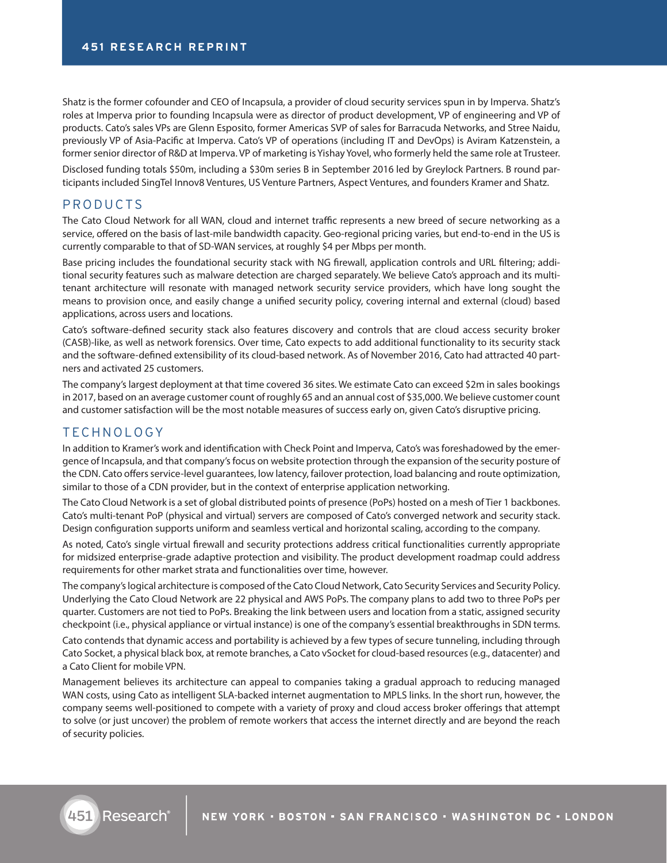Shatz is the former cofounder and CEO of Incapsula, a provider of cloud security services spun in by Imperva. Shatz's roles at Imperva prior to founding Incapsula were as director of product development, VP of engineering and VP of products. Cato's sales VPs are Glenn Esposito, former Americas SVP of sales for Barracuda Networks, and Stree Naidu, previously VP of Asia-Pacific at Imperva. Cato's VP of operations (including IT and DevOps) is Aviram Katzenstein, a former senior director of R&D at Imperva. VP of marketing is Yishay Yovel, who formerly held the same role at Trusteer.

Disclosed funding totals \$50m, including a \$30m series B in September 2016 led by Greylock Partners. B round participants included SingTel Innov8 Ventures, US Venture Partners, Aspect Ventures, and founders Kramer and Shatz.

## PRODUCTS

The Cato Cloud Network for all WAN, cloud and internet traffic represents a new breed of secure networking as a service, offered on the basis of last-mile bandwidth capacity. Geo-regional pricing varies, but end-to-end in the US is currently comparable to that of SD-WAN services, at roughly \$4 per Mbps per month.

Base pricing includes the foundational security stack with NG firewall, application controls and URL filtering; additional security features such as malware detection are charged separately. We believe Cato's approach and its multitenant architecture will resonate with managed network security service providers, which have long sought the means to provision once, and easily change a unified security policy, covering internal and external (cloud) based applications, across users and locations.

Cato's software-defined security stack also features discovery and controls that are cloud access security broker (CASB)-like, as well as network forensics. Over time, Cato expects to add additional functionality to its security stack and the software-defined extensibility of its cloud-based network. As of November 2016, Cato had attracted 40 partners and activated 25 customers.

The company's largest deployment at that time covered 36 sites. We estimate Cato can exceed \$2m in sales bookings in 2017, based on an average customer count of roughly 65 and an annual cost of \$35,000. We believe customer count and customer satisfaction will be the most notable measures of success early on, given Cato's disruptive pricing.

### TECHNOLOGY

In addition to Kramer's work and identification with Check Point and Imperva, Cato's was foreshadowed by the emergence of Incapsula, and that company's focus on website protection through the expansion of the security posture of the CDN. Cato offers service-level guarantees, low latency, failover protection, load balancing and route optimization, similar to those of a CDN provider, but in the context of enterprise application networking.

The Cato Cloud Network is a set of global distributed points of presence (PoPs) hosted on a mesh of Tier 1 backbones. Cato's multi-tenant PoP (physical and virtual) servers are composed of Cato's converged network and security stack. Design configuration supports uniform and seamless vertical and horizontal scaling, according to the company.

As noted, Cato's single virtual firewall and security protections address critical functionalities currently appropriate for midsized enterprise-grade adaptive protection and visibility. The product development roadmap could address requirements for other market strata and functionalities over time, however.

The company's logical architecture is composed of the Cato Cloud Network, Cato Security Services and Security Policy. Underlying the Cato Cloud Network are 22 physical and AWS PoPs. The company plans to add two to three PoPs per quarter. Customers are not tied to PoPs. Breaking the link between users and location from a static, assigned security checkpoint (i.e., physical appliance or virtual instance) is one of the company's essential breakthroughs in SDN terms.

Cato contends that dynamic access and portability is achieved by a few types of secure tunneling, including through Cato Socket, a physical black box, at remote branches, a Cato vSocket for cloud-based resources (e.g., datacenter) and a Cato Client for mobile VPN.

Management believes its architecture can appeal to companies taking a gradual approach to reducing managed WAN costs, using Cato as intelligent SLA-backed internet augmentation to MPLS links. In the short run, however, the company seems well-positioned to compete with a variety of proxy and cloud access broker offerings that attempt to solve (or just uncover) the problem of remote workers that access the internet directly and are beyond the reach of security policies.

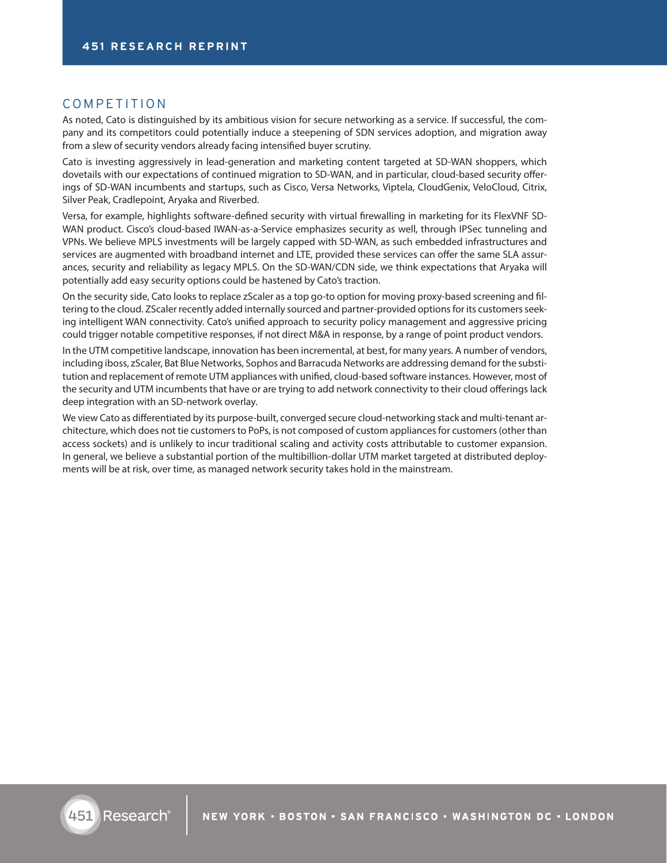# COMPETITION

As noted, Cato is distinguished by its ambitious vision for secure networking as a service. If successful, the company and its competitors could potentially induce a steepening of SDN services adoption, and migration away from a slew of security vendors already facing intensified buyer scrutiny.

Cato is investing aggressively in lead-generation and marketing content targeted at SD-WAN shoppers, which dovetails with our expectations of continued migration to SD-WAN, and in particular, cloud-based security offerings of SD-WAN incumbents and startups, such as Cisco, Versa Networks, Viptela, CloudGenix, VeloCloud, Citrix, Silver Peak, Cradlepoint, Aryaka and Riverbed.

Versa, for example, highlights software-defined security with virtual firewalling in marketing for its FlexVNF SD-WAN product. Cisco's cloud-based IWAN-as-a-Service emphasizes security as well, through IPSec tunneling and VPNs. We believe MPLS investments will be largely capped with SD-WAN, as such embedded infrastructures and services are augmented with broadband internet and LTE, provided these services can offer the same SLA assurances, security and reliability as legacy MPLS. On the SD-WAN/CDN side, we think expectations that Aryaka will potentially add easy security options could be hastened by Cato's traction.

On the security side, Cato looks to replace zScaler as a top go-to option for moving proxy-based screening and filtering to the cloud. ZScaler recently added internally sourced and partner-provided options for its customers seeking intelligent WAN connectivity. Cato's unified approach to security policy management and aggressive pricing could trigger notable competitive responses, if not direct M&A in response, by a range of point product vendors.

In the UTM competitive landscape, innovation has been incremental, at best, for many years. A number of vendors, including iboss, zScaler, Bat Blue Networks, Sophos and Barracuda Networks are addressing demand for the substitution and replacement of remote UTM appliances with unified, cloud-based software instances. However, most of the security and UTM incumbents that have or are trying to add network connectivity to their cloud offerings lack deep integration with an SD-network overlay.

We view Cato as differentiated by its purpose-built, converged secure cloud-networking stack and multi-tenant architecture, which does not tie customers to PoPs, is not composed of custom appliances for customers (other than access sockets) and is unlikely to incur traditional scaling and activity costs attributable to customer expansion. In general, we believe a substantial portion of the multibillion-dollar UTM market targeted at distributed deployments will be at risk, over time, as managed network security takes hold in the mainstream.